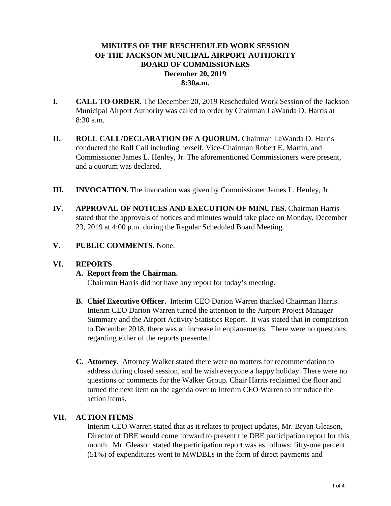# **MINUTES OF THE RESCHEDULED WORK SESSION OF THE JACKSON MUNICIPAL AIRPORT AUTHORITY BOARD OF COMMISSIONERS December 20, 2019 8:30a.m.**

- **I. CALL TO ORDER.** The December 20, 2019 Rescheduled Work Session of the Jackson Municipal Airport Authority was called to order by Chairman LaWanda D. Harris at 8:30 a.m.
- **II. ROLL CALL/DECLARATION OF A QUORUM.** Chairman LaWanda D. Harris conducted the Roll Call including herself, Vice-Chairman Robert E. Martin, and Commissioner James L. Henley, Jr. The aforementioned Commissioners were present, and a quorum was declared.
- **III. INVOCATION.** The invocation was given by Commissioner James L. Henley, Jr.
- **IV. APPROVAL OF NOTICES AND EXECUTION OF MINUTES.** Chairman Harris stated that the approvals of notices and minutes would take place on Monday, December 23, 2019 at 4:00 p.m. during the Regular Scheduled Board Meeting.
- **V. PUBLIC COMMENTS.** None.

#### **VI. REPORTS**

#### **A. Report from the Chairman.**

Chairman Harris did not have any report for today's meeting.

- **B. Chief Executive Officer.** Interim CEO Darion Warren thanked Chairman Harris. Interim CEO Darion Warren turned the attention to the Airport Project Manager Summary and the Airport Activity Statistics Report. It was stated that in comparison to December 2018, there was an increase in enplanements. There were no questions regarding either of the reports presented.
- **C. Attorney.** Attorney Walker stated there were no matters for recommendation to address during closed session, and he wish everyone a happy holiday. There were no questions or comments for the Walker Group. Chair Harris reclaimed the floor and turned the next item on the agenda over to Interim CEO Warren to introduce the action items.

#### **VII. ACTION ITEMS**

Interim CEO Warren stated that as it relates to project updates, Mr. Bryan Gleason, Director of DBE would come forward to present the DBE participation report for this month. Mr. Gleason stated the participation report was as follows: fifty-one percent (51%) of expenditures went to MWDBEs in the form of direct payments and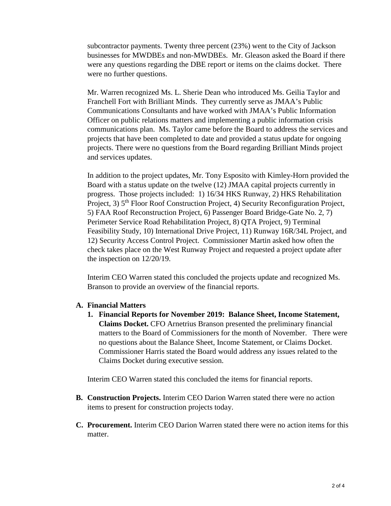subcontractor payments. Twenty three percent (23%) went to the City of Jackson businesses for MWDBEs and non-MWDBEs. Mr. Gleason asked the Board if there were any questions regarding the DBE report or items on the claims docket. There were no further questions.

Mr. Warren recognized Ms. L. Sherie Dean who introduced Ms. Geilia Taylor and Franchell Fort with Brilliant Minds. They currently serve as JMAA's Public Communications Consultants and have worked with JMAA's Public Information Officer on public relations matters and implementing a public information crisis communications plan. Ms. Taylor came before the Board to address the services and projects that have been completed to date and provided a status update for ongoing projects. There were no questions from the Board regarding Brilliant Minds project and services updates.

In addition to the project updates, Mr. Tony Esposito with Kimley-Horn provided the Board with a status update on the twelve (12) JMAA capital projects currently in progress. Those projects included: 1) 16/34 HKS Runway, 2) HKS Rehabilitation Project, 3)  $5<sup>th</sup>$  Floor Roof Construction Project, 4) Security Reconfiguration Project, 5) FAA Roof Reconstruction Project, 6) Passenger Board Bridge-Gate No. 2, 7) Perimeter Service Road Rehabilitation Project, 8) QTA Project, 9) Terminal Feasibility Study, 10) International Drive Project, 11) Runway 16R/34L Project, and 12) Security Access Control Project. Commissioner Martin asked how often the check takes place on the West Runway Project and requested a project update after the inspection on 12/20/19.

Interim CEO Warren stated this concluded the projects update and recognized Ms. Branson to provide an overview of the financial reports.

#### **A. Financial Matters**

**1. Financial Reports for November 2019: Balance Sheet, Income Statement, Claims Docket.** CFO Arnetrius Branson presented the preliminary financial matters to the Board of Commissioners for the month of November. There were no questions about the Balance Sheet, Income Statement, or Claims Docket. Commissioner Harris stated the Board would address any issues related to the Claims Docket during executive session.

Interim CEO Warren stated this concluded the items for financial reports.

- **B. Construction Projects.** Interim CEO Darion Warren stated there were no action items to present for construction projects today.
- **C. Procurement.** Interim CEO Darion Warren stated there were no action items for this matter.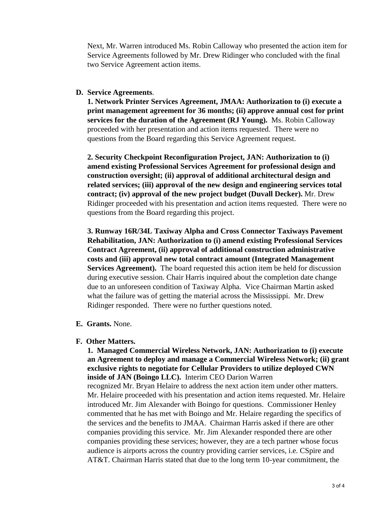Next, Mr. Warren introduced Ms. Robin Calloway who presented the action item for Service Agreements followed by Mr. Drew Ridinger who concluded with the final two Service Agreement action items.

### **D. Service Agreements**.

**1. Network Printer Services Agreement, JMAA: Authorization to (i) execute a print management agreement for 36 months; (ii) approve annual cost for print services for the duration of the Agreement (RJ Young).** Ms. Robin Calloway proceeded with her presentation and action items requested. There were no questions from the Board regarding this Service Agreement request.

**2. Security Checkpoint Reconfiguration Project, JAN: Authorization to (i) amend existing Professional Services Agreement for professional design and construction oversight; (ii) approval of additional architectural design and related services; (iii) approval of the new design and engineering services total contract; (iv) approval of the new project budget (Duvall Decker).** Mr. Drew Ridinger proceeded with his presentation and action items requested. There were no questions from the Board regarding this project.

**3. Runway 16R/34L Taxiway Alpha and Cross Connector Taxiways Pavement Rehabilitation, JAN: Authorization to (i) amend existing Professional Services Contract Agreement, (ii) approval of additional construction administrative costs and (iii) approval new total contract amount (Integrated Management Services Agreement).** The board requested this action item be held for discussion during executive session. Chair Harris inquired about the completion date change due to an unforeseen condition of Taxiway Alpha. Vice Chairman Martin asked what the failure was of getting the material across the Mississippi. Mr. Drew Ridinger responded. There were no further questions noted.

**E. Grants.** None.

## **F. Other Matters.**

**1. Managed Commercial Wireless Network, JAN: Authorization to (i) execute an Agreement to deploy and manage a Commercial Wireless Network; (ii) grant exclusive rights to negotiate for Cellular Providers to utilize deployed CWN inside of JAN (Boingo LLC).** Interim CEO Darion Warren

recognized Mr. Bryan Helaire to address the next action item under other matters. Mr. Helaire proceeded with his presentation and action items requested. Mr. Helaire introduced Mr. Jim Alexander with Boingo for questions. Commissioner Henley commented that he has met with Boingo and Mr. Helaire regarding the specifics of the services and the benefits to JMAA. Chairman Harris asked if there are other companies providing this service. Mr. Jim Alexander responded there are other companies providing these services; however, they are a tech partner whose focus audience is airports across the country providing carrier services, i.e. CSpire and AT&T. Chairman Harris stated that due to the long term 10-year commitment, the